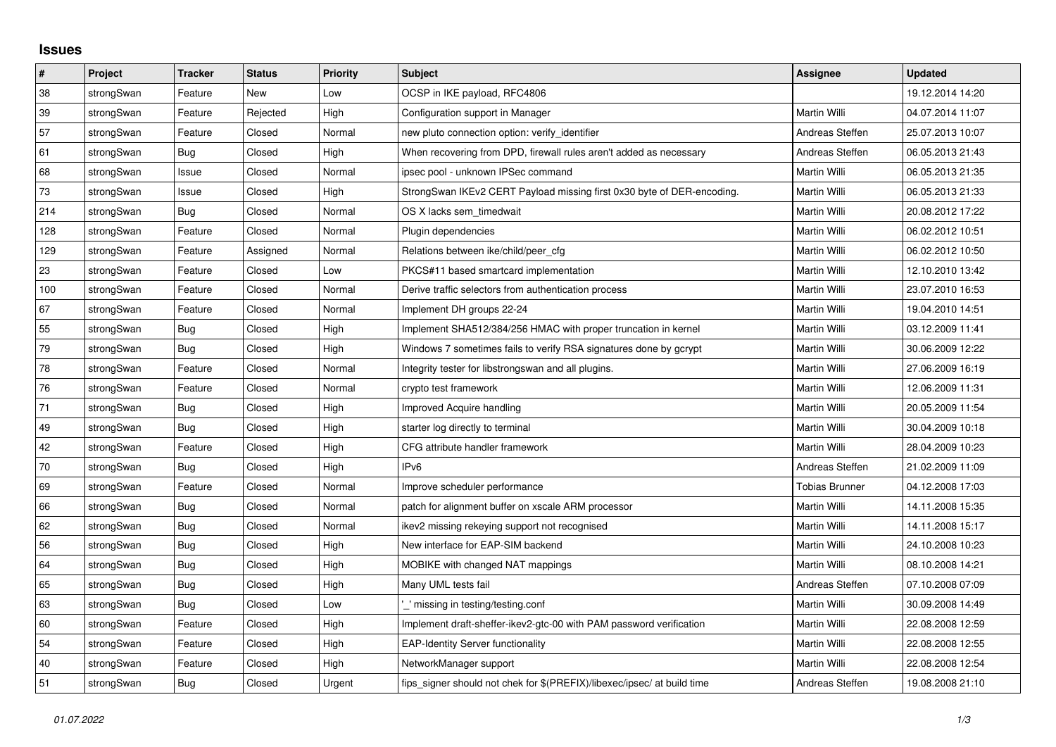## **Issues**

| $\vert$ # | <b>Project</b> | <b>Tracker</b> | <b>Status</b> | <b>Priority</b> | <b>Subject</b>                                                          | Assignee            | <b>Updated</b>   |
|-----------|----------------|----------------|---------------|-----------------|-------------------------------------------------------------------------|---------------------|------------------|
| 38        | strongSwan     | Feature        | New           | Low             | OCSP in IKE payload, RFC4806                                            |                     | 19.12.2014 14:20 |
| 39        | strongSwan     | Feature        | Rejected      | High            | Configuration support in Manager                                        | Martin Willi        | 04.07.2014 11:07 |
| 57        | strongSwan     | Feature        | Closed        | Normal          | new pluto connection option: verify identifier                          | Andreas Steffen     | 25.07.2013 10:07 |
| 61        | strongSwan     | Bug            | Closed        | High            | When recovering from DPD, firewall rules aren't added as necessary      | Andreas Steffen     | 06.05.2013 21:43 |
| 68        | strongSwan     | Issue          | Closed        | Normal          | ipsec pool - unknown IPSec command                                      | Martin Willi        | 06.05.2013 21:35 |
| 73        | strongSwan     | Issue          | Closed        | High            | StrongSwan IKEv2 CERT Payload missing first 0x30 byte of DER-encoding.  | Martin Willi        | 06.05.2013 21:33 |
| 214       | strongSwan     | Bug            | Closed        | Normal          | OS X lacks sem timedwait                                                | Martin Willi        | 20.08.2012 17:22 |
| 128       | strongSwan     | Feature        | Closed        | Normal          | Plugin dependencies                                                     | Martin Willi        | 06.02.2012 10:51 |
| 129       | strongSwan     | Feature        | Assigned      | Normal          | Relations between ike/child/peer_cfg                                    | Martin Willi        | 06.02.2012 10:50 |
| 23        | strongSwan     | Feature        | Closed        | Low             | PKCS#11 based smartcard implementation                                  | Martin Willi        | 12.10.2010 13:42 |
| 100       | strongSwan     | Feature        | Closed        | Normal          | Derive traffic selectors from authentication process                    | Martin Willi        | 23.07.2010 16:53 |
| 67        | strongSwan     | Feature        | Closed        | Normal          | Implement DH groups 22-24                                               | Martin Willi        | 19.04.2010 14:51 |
| 55        | strongSwan     | Bug            | Closed        | High            | Implement SHA512/384/256 HMAC with proper truncation in kernel          | Martin Willi        | 03.12.2009 11:41 |
| 79        | strongSwan     | <b>Bug</b>     | Closed        | High            | Windows 7 sometimes fails to verify RSA signatures done by gcrypt       | Martin Willi        | 30.06.2009 12:22 |
| 78        | strongSwan     | Feature        | Closed        | Normal          | Integrity tester for libstrongswan and all plugins.                     | Martin Willi        | 27.06.2009 16:19 |
| 76        | strongSwan     | Feature        | Closed        | Normal          | crypto test framework                                                   | Martin Willi        | 12.06.2009 11:31 |
| 71        | strongSwan     | Bug            | Closed        | High            | <b>Improved Acquire handling</b>                                        | Martin Willi        | 20.05.2009 11:54 |
| 49        | strongSwan     | Bug            | Closed        | High            | starter log directly to terminal                                        | Martin Willi        | 30.04.2009 10:18 |
| 42        | strongSwan     | Feature        | Closed        | High            | CFG attribute handler framework                                         | Martin Willi        | 28.04.2009 10:23 |
| 70        | strongSwan     | Bug            | Closed        | High            | IPv6                                                                    | Andreas Steffen     | 21.02.2009 11:09 |
| 69        | strongSwan     | Feature        | Closed        | Normal          | Improve scheduler performance                                           | Tobias Brunner      | 04.12.2008 17:03 |
| 66        | strongSwan     | <b>Bug</b>     | Closed        | Normal          | patch for alignment buffer on xscale ARM processor                      | Martin Willi        | 14.11.2008 15:35 |
| 62        | strongSwan     | <b>Bug</b>     | Closed        | Normal          | ikev2 missing rekeying support not recognised                           | Martin Willi        | 14.11.2008 15:17 |
| 56        | strongSwan     | Bug            | Closed        | High            | New interface for EAP-SIM backend                                       | Martin Willi        | 24.10.2008 10:23 |
| 64        | strongSwan     | Bug            | Closed        | High            | MOBIKE with changed NAT mappings                                        | <b>Martin Willi</b> | 08.10.2008 14:21 |
| 65        | strongSwan     | Bug            | Closed        | High            | Many UML tests fail                                                     | Andreas Steffen     | 07.10.2008 07:09 |
| 63        | strongSwan     | Bug            | Closed        | Low             | ' missing in testing/testing.conf                                       | Martin Willi        | 30.09.2008 14:49 |
| 60        | strongSwan     | Feature        | Closed        | High            | Implement draft-sheffer-ikev2-gtc-00 with PAM password verification     | Martin Willi        | 22.08.2008 12:59 |
| 54        | strongSwan     | Feature        | Closed        | High            | <b>EAP-Identity Server functionality</b>                                | Martin Willi        | 22.08.2008 12:55 |
| 40        | strongSwan     | Feature        | Closed        | High            | NetworkManager support                                                  | Martin Willi        | 22.08.2008 12:54 |
| 51        | strongSwan     | Bug            | Closed        | Urgent          | fips_signer should not chek for \$(PREFIX)/libexec/ipsec/ at build time | Andreas Steffen     | 19.08.2008 21:10 |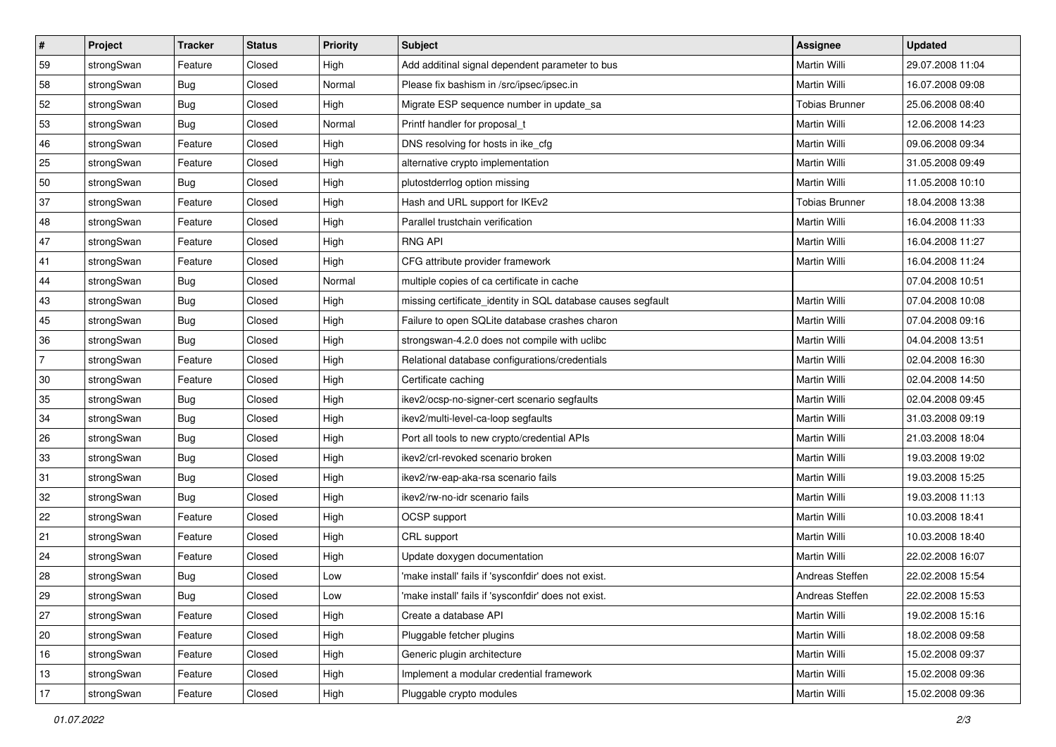| #              | Project    | <b>Tracker</b> | <b>Status</b> | <b>Priority</b> | Subject                                                      | Assignee              | <b>Updated</b>   |
|----------------|------------|----------------|---------------|-----------------|--------------------------------------------------------------|-----------------------|------------------|
| 59             | strongSwan | Feature        | Closed        | High            | Add additinal signal dependent parameter to bus              | Martin Willi          | 29.07.2008 11:04 |
| 58             | strongSwan | <b>Bug</b>     | Closed        | Normal          | Please fix bashism in /src/ipsec/ipsec.in                    | Martin Willi          | 16.07.2008 09:08 |
| 52             | strongSwan | Bug            | Closed        | High            | Migrate ESP sequence number in update_sa                     | <b>Tobias Brunner</b> | 25.06.2008 08:40 |
| 53             | strongSwan | <b>Bug</b>     | Closed        | Normal          | Printf handler for proposal_t                                | Martin Willi          | 12.06.2008 14:23 |
| 46             | strongSwan | Feature        | Closed        | High            | DNS resolving for hosts in ike_cfg                           | Martin Willi          | 09.06.2008 09:34 |
| 25             | strongSwan | Feature        | Closed        | High            | alternative crypto implementation                            | Martin Willi          | 31.05.2008 09:49 |
| 50             | strongSwan | <b>Bug</b>     | Closed        | High            | plutostderrlog option missing                                | <b>Martin Willi</b>   | 11.05.2008 10:10 |
| 37             | strongSwan | Feature        | Closed        | High            | Hash and URL support for IKEv2                               | <b>Tobias Brunner</b> | 18.04.2008 13:38 |
| 48             | strongSwan | Feature        | Closed        | High            | Parallel trustchain verification                             | Martin Willi          | 16.04.2008 11:33 |
| 47             | strongSwan | Feature        | Closed        | High            | <b>RNG API</b>                                               | Martin Willi          | 16.04.2008 11:27 |
| 41             | strongSwan | Feature        | Closed        | High            | CFG attribute provider framework                             | Martin Willi          | 16.04.2008 11:24 |
| 44             | strongSwan | Bug            | Closed        | Normal          | multiple copies of ca certificate in cache                   |                       | 07.04.2008 10:51 |
| 43             | strongSwan | Bug            | Closed        | High            | missing certificate_identity in SQL database causes segfault | Martin Willi          | 07.04.2008 10:08 |
| 45             | strongSwan | Bug            | Closed        | High            | Failure to open SQLite database crashes charon               | Martin Willi          | 07.04.2008 09:16 |
| 36             | strongSwan | <b>Bug</b>     | Closed        | High            | strongswan-4.2.0 does not compile with uclibc                | Martin Willi          | 04.04.2008 13:51 |
| $\overline{7}$ | strongSwan | Feature        | Closed        | High            | Relational database configurations/credentials               | Martin Willi          | 02.04.2008 16:30 |
| 30             | strongSwan | Feature        | Closed        | High            | Certificate caching                                          | Martin Willi          | 02.04.2008 14:50 |
| 35             | strongSwan | Bug            | Closed        | High            | ikev2/ocsp-no-signer-cert scenario segfaults                 | Martin Willi          | 02.04.2008 09:45 |
| 34             | strongSwan | <b>Bug</b>     | Closed        | High            | ikev2/multi-level-ca-loop segfaults                          | Martin Willi          | 31.03.2008 09:19 |
| 26             | strongSwan | <b>Bug</b>     | Closed        | High            | Port all tools to new crypto/credential APIs                 | Martin Willi          | 21.03.2008 18:04 |
| 33             | strongSwan | Bug            | Closed        | High            | ikev2/crl-revoked scenario broken                            | Martin Willi          | 19.03.2008 19:02 |
| 31             | strongSwan | <b>Bug</b>     | Closed        | High            | ikev2/rw-eap-aka-rsa scenario fails                          | Martin Willi          | 19.03.2008 15:25 |
| 32             | strongSwan | Bug            | Closed        | High            | ikev2/rw-no-idr scenario fails                               | Martin Willi          | 19.03.2008 11:13 |
| 22             | strongSwan | Feature        | Closed        | High            | OCSP support                                                 | Martin Willi          | 10.03.2008 18:41 |
| 21             | strongSwan | Feature        | Closed        | High            | CRL support                                                  | Martin Willi          | 10.03.2008 18:40 |
| 24             | strongSwan | Feature        | Closed        | High            | Update doxygen documentation                                 | Martin Willi          | 22.02.2008 16:07 |
| 28             | strongSwan | <b>Bug</b>     | Closed        | Low             | 'make install' fails if 'sysconfdir' does not exist.         | Andreas Steffen       | 22.02.2008 15:54 |
| 29             | strongSwan | <b>Bug</b>     | Closed        | Low             | 'make install' fails if 'sysconfdir' does not exist.         | Andreas Steffen       | 22.02.2008 15:53 |
| 27             | strongSwan | Feature        | Closed        | High            | Create a database API                                        | Martin Willi          | 19.02.2008 15:16 |
| 20             | strongSwan | Feature        | Closed        | High            | Pluggable fetcher plugins                                    | Martin Willi          | 18.02.2008 09:58 |
| 16             | strongSwan | Feature        | Closed        | High            | Generic plugin architecture                                  | Martin Willi          | 15.02.2008 09:37 |
| 13             | strongSwan | Feature        | Closed        | High            | Implement a modular credential framework                     | Martin Willi          | 15.02.2008 09:36 |
| $17$           | strongSwan | Feature        | Closed        | High            | Pluggable crypto modules                                     | Martin Willi          | 15.02.2008 09:36 |